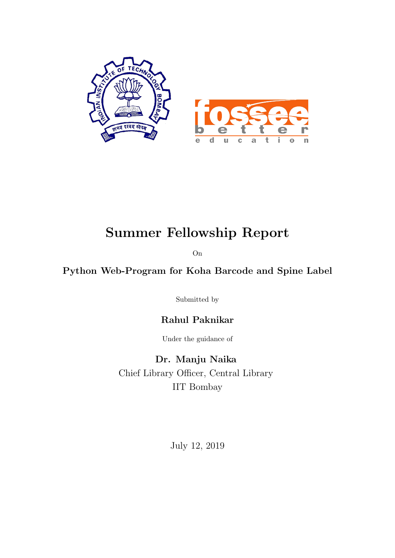

## Summer Fellowship Report

On

### Python Web-Program for Koha Barcode and Spine Label

Submitted by

### Rahul Paknikar

Under the guidance of

Dr. Manju Naika Chief Library Officer, Central Library IIT Bombay

July 12, 2019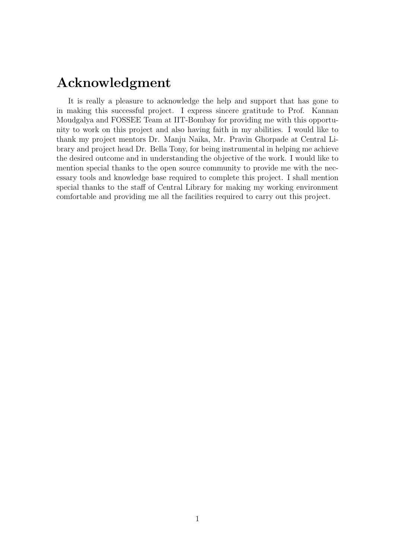## Acknowledgment

It is really a pleasure to acknowledge the help and support that has gone to in making this successful project. I express sincere gratitude to Prof. Kannan Moudgalya and FOSSEE Team at IIT-Bombay for providing me with this opportunity to work on this project and also having faith in my abilities. I would like to thank my project mentors Dr. Manju Naika, Mr. Pravin Ghorpade at Central Library and project head Dr. Bella Tony, for being instrumental in helping me achieve the desired outcome and in understanding the objective of the work. I would like to mention special thanks to the open source community to provide me with the necessary tools and knowledge base required to complete this project. I shall mention special thanks to the staff of Central Library for making my working environment comfortable and providing me all the facilities required to carry out this project.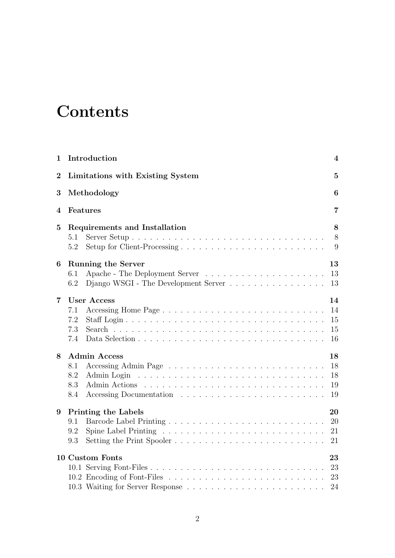## **Contents**

| 1                | Introduction<br>4                                                                                            |    |  |  |  |  |  |  |  |
|------------------|--------------------------------------------------------------------------------------------------------------|----|--|--|--|--|--|--|--|
| $\boldsymbol{2}$ | Limitations with Existing System                                                                             |    |  |  |  |  |  |  |  |
| 3                | Methodology<br>6                                                                                             |    |  |  |  |  |  |  |  |
| 4                | Features                                                                                                     | 7  |  |  |  |  |  |  |  |
| $\overline{5}$   | Requirements and Installation                                                                                | 8  |  |  |  |  |  |  |  |
|                  | 5.1                                                                                                          | 8  |  |  |  |  |  |  |  |
|                  | 5.2                                                                                                          | 9  |  |  |  |  |  |  |  |
| 6                | <b>Running the Server</b>                                                                                    | 13 |  |  |  |  |  |  |  |
|                  | 6.1                                                                                                          | 13 |  |  |  |  |  |  |  |
|                  | Django WSGI - The Development Server<br>6.2                                                                  | 13 |  |  |  |  |  |  |  |
| 7                | <b>User Access</b>                                                                                           | 14 |  |  |  |  |  |  |  |
|                  | 7.1                                                                                                          | 14 |  |  |  |  |  |  |  |
|                  | 7.2                                                                                                          | 15 |  |  |  |  |  |  |  |
|                  | 7.3                                                                                                          | 15 |  |  |  |  |  |  |  |
|                  | 7.4                                                                                                          | 16 |  |  |  |  |  |  |  |
| 8                | <b>Admin Access</b>                                                                                          | 18 |  |  |  |  |  |  |  |
|                  | 8.1                                                                                                          | 18 |  |  |  |  |  |  |  |
|                  | 8.2<br><u>. A series and a series and a series and a series and a series and a series and</u><br>Admin Login | 18 |  |  |  |  |  |  |  |
|                  | 8.3                                                                                                          | 19 |  |  |  |  |  |  |  |
|                  | 8.4                                                                                                          | 19 |  |  |  |  |  |  |  |
| 9                | <b>Printing the Labels</b>                                                                                   | 20 |  |  |  |  |  |  |  |
|                  | 9.1                                                                                                          | 20 |  |  |  |  |  |  |  |
|                  | 9.2                                                                                                          | 21 |  |  |  |  |  |  |  |
|                  | Setting the Print Spooler<br>9.3                                                                             | 21 |  |  |  |  |  |  |  |
|                  | 10 Custom Fonts                                                                                              | 23 |  |  |  |  |  |  |  |
|                  |                                                                                                              | 23 |  |  |  |  |  |  |  |
|                  |                                                                                                              | 23 |  |  |  |  |  |  |  |
|                  |                                                                                                              | 24 |  |  |  |  |  |  |  |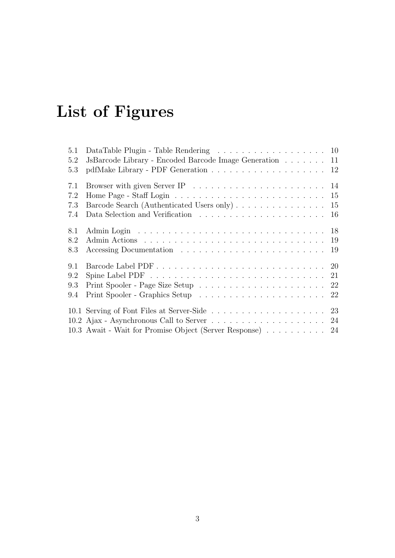# List of Figures

| 5.1 | DataTable Plugin - Table Rendering 10                                                       |
|-----|---------------------------------------------------------------------------------------------|
| 5.2 | JsBarcode Library - Encoded Barcode Image Generation 11                                     |
| 5.3 |                                                                                             |
| 7.1 |                                                                                             |
| 7.2 | Home Page - Staff Login $\ldots \ldots \ldots \ldots \ldots \ldots \ldots \ldots \ldots 15$ |
| 7.3 | Barcode Search (Authenticated Users only) 15                                                |
| 7.4 | 16                                                                                          |
| 8.1 |                                                                                             |
| 8.2 |                                                                                             |
| 8.3 |                                                                                             |
| 9.1 |                                                                                             |
| 9.2 |                                                                                             |
| 9.3 |                                                                                             |
| 9.4 |                                                                                             |
|     |                                                                                             |
|     |                                                                                             |
|     | 10.3 Await - Wait for Promise Object (Server Response) 24                                   |
|     |                                                                                             |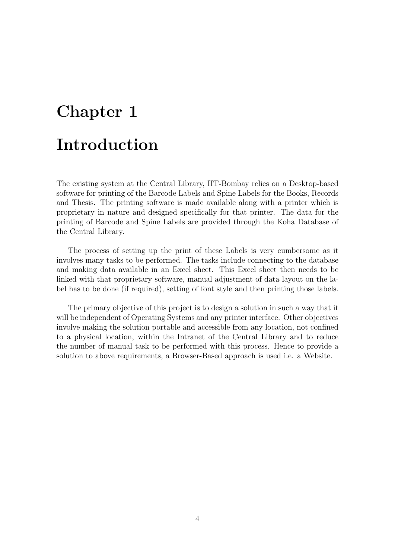# <span id="page-4-0"></span>Chapter 1 Introduction

The existing system at the Central Library, IIT-Bombay relies on a Desktop-based software for printing of the Barcode Labels and Spine Labels for the Books, Records and Thesis. The printing software is made available along with a printer which is proprietary in nature and designed specifically for that printer. The data for the printing of Barcode and Spine Labels are provided through the Koha Database of the Central Library.

The process of setting up the print of these Labels is very cumbersome as it involves many tasks to be performed. The tasks include connecting to the database and making data available in an Excel sheet. This Excel sheet then needs to be linked with that proprietary software, manual adjustment of data layout on the label has to be done (if required), setting of font style and then printing those labels.

The primary objective of this project is to design a solution in such a way that it will be independent of Operating Systems and any printer interface. Other objectives involve making the solution portable and accessible from any location, not confined to a physical location, within the Intranet of the Central Library and to reduce the number of manual task to be performed with this process. Hence to provide a solution to above requirements, a Browser-Based approach is used i.e. a Website.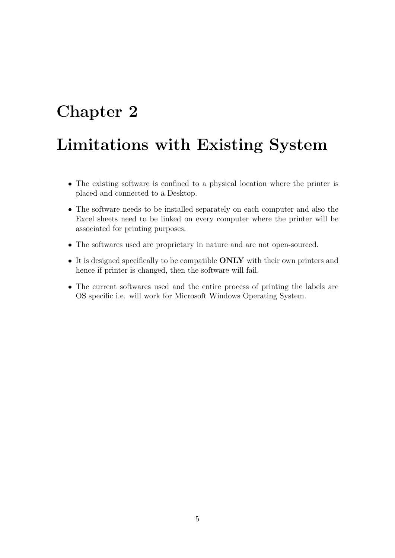## <span id="page-5-0"></span>Limitations with Existing System

- The existing software is confined to a physical location where the printer is placed and connected to a Desktop.
- The software needs to be installed separately on each computer and also the Excel sheets need to be linked on every computer where the printer will be associated for printing purposes.
- The softwares used are proprietary in nature and are not open-sourced.
- It is designed specifically to be compatible **ONLY** with their own printers and hence if printer is changed, then the software will fail.
- The current softwares used and the entire process of printing the labels are OS specific i.e. will work for Microsoft Windows Operating System.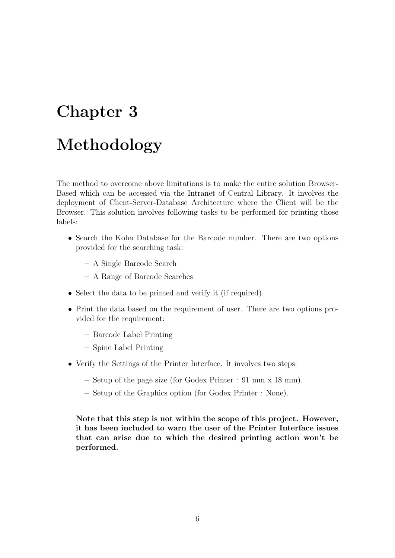# <span id="page-6-0"></span>Chapter 3 Methodology

The method to overcome above limitations is to make the entire solution Browser-Based which can be accessed via the Intranet of Central Library. It involves the deployment of Client-Server-Database Architecture where the Client will be the Browser. This solution involves following tasks to be performed for printing those labels:

- Search the Koha Database for the Barcode number. There are two options provided for the searching task:
	- A Single Barcode Search
	- A Range of Barcode Searches
- Select the data to be printed and verify it (if required).
- Print the data based on the requirement of user. There are two options provided for the requirement:
	- Barcode Label Printing
	- Spine Label Printing
- Verify the Settings of the Printer Interface. It involves two steps:
	- Setup of the page size (for Godex Printer : 91 mm x 18 mm).
	- Setup of the Graphics option (for Godex Printer : None).

Note that this step is not within the scope of this project. However, it has been included to warn the user of the Printer Interface issues that can arise due to which the desired printing action won't be performed.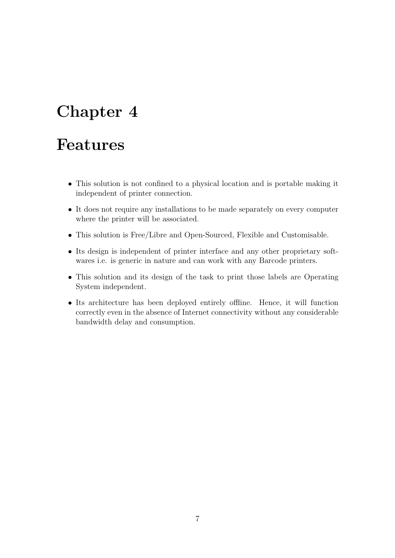## <span id="page-7-0"></span>Features

- This solution is not confined to a physical location and is portable making it independent of printer connection.
- It does not require any installations to be made separately on every computer where the printer will be associated.
- This solution is Free/Libre and Open-Sourced, Flexible and Customisable.
- Its design is independent of printer interface and any other proprietary softwares i.e. is generic in nature and can work with any Barcode printers.
- This solution and its design of the task to print those labels are Operating System independent.
- Its architecture has been deployed entirely offline. Hence, it will function correctly even in the absence of Internet connectivity without any considerable bandwidth delay and consumption.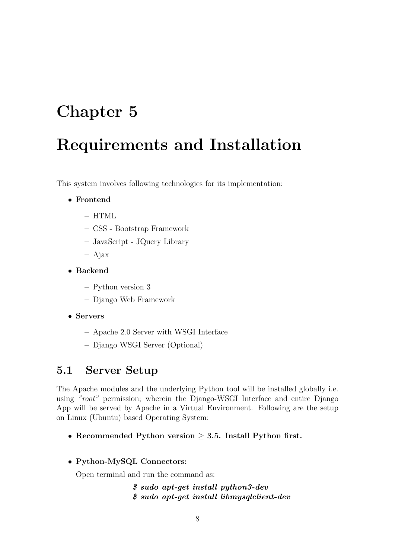## <span id="page-8-0"></span>Requirements and Installation

This system involves following technologies for its implementation:

- Frontend
	- $-$  HTML
	- CSS Bootstrap Framework
	- JavaScript JQuery Library
	- Ajax
- Backend
	- Python version 3
	- Django Web Framework
- Servers
	- Apache 2.0 Server with WSGI Interface
	- Django WSGI Server (Optional)

### <span id="page-8-1"></span>5.1 Server Setup

The Apache modules and the underlying Python tool will be installed globally i.e. using "root" permission; wherein the Django-WSGI Interface and entire Django App will be served by Apache in a Virtual Environment. Following are the setup on Linux (Ubuntu) based Operating System:

• Recommended Python version  $\geq$  3.5. Install Python first.

#### • Python-MySQL Connectors:

Open terminal and run the command as:

\$ sudo apt-get install python3-dev \$ sudo apt-get install libmysqlclient-dev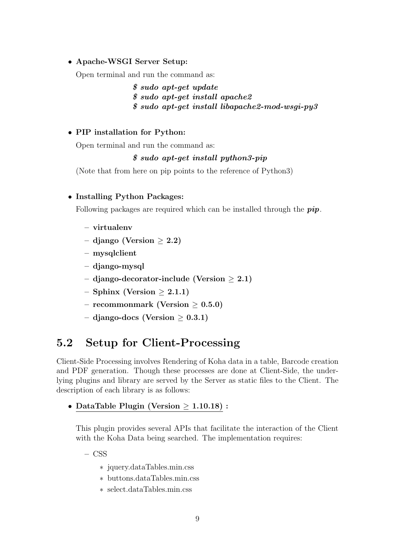#### • Apache-WSGI Server Setup:

Open terminal and run the command as:

\$ sudo apt-get update \$ sudo apt-get install apache2 \$ sudo apt-get install libapache2-mod-wsgi-py3

#### • PIP installation for Python:

Open terminal and run the command as:

#### \$ sudo apt-get install python3-pip

(Note that from here on pip points to the reference of Python3)

#### • Installing Python Packages:

Following packages are required which can be installed through the  $pip$ .

- virtualenv
- django (Version  $\geq 2.2$ )
- mysqlclient
- django-mysql
- $-$  django-decorator-include (Version  $> 2.1$ )
- $-$  Sphinx (Version  $> 2.1.1$ )
- recommonmark (Version  $\geq 0.5.0$ )
- django-docs (Version  $> 0.3.1$ )

### <span id="page-9-0"></span>5.2 Setup for Client-Processing

Client-Side Processing involves Rendering of Koha data in a table, Barcode creation and PDF generation. Though these processes are done at Client-Side, the underlying plugins and library are served by the Server as static files to the Client. The description of each library is as follows:

• DataTable Plugin (Version  $\geq 1.10.18$ ) :

This plugin provides several APIs that facilitate the interaction of the Client with the Koha Data being searched. The implementation requires:

- $-$  CSS
	- ∗ jquery.dataTables.min.css
	- ∗ buttons.dataTables.min.css
	- ∗ select.dataTables.min.css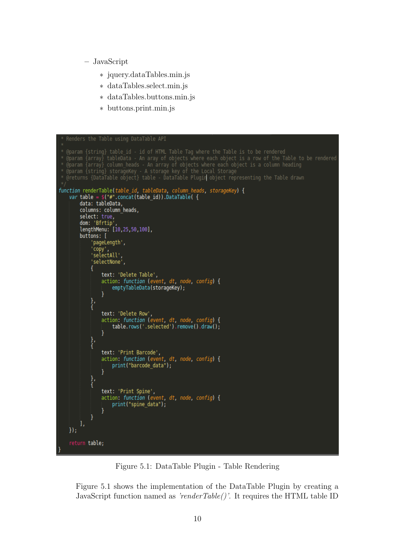- JavaScript
	- ∗ jquery.dataTables.min.js
	- ∗ dataTables.select.min.js
	- ∗ dataTables.buttons.min.js
	- ∗ buttons.print.min.js

```
Command (array) tableData - An aray of objects where each object is a row of the Table to be rendered<br>Comparam {array} column_heads - An array of objects where each object is a row of the Table to be rendered<br>Comparam {str
function renderTable(table_id, tableData, column_heads, storageKey) {
      var table = \frac{2}{3}("#".concat(table_id)).DataTable({<br>data: tableData,
             columns: column heads,
             select: true,<br>select: true,<br>dom: 'Bfrtip',<br>lengthMenu: [10,25,50,100],<br>lenttons: [
             buttons: [
                     'pageLength',
                    'copy',<br>'selectAll'
                    'selectNone',
                    ł
                           text: 'Delete Table',<br>action: function (event, dt, node, config) {
                                  emptyTableData(storageKey);
                    },<br>{
                           text: 'Delete Row',<br>action: function (event, dt, node, config) {<br>| table.rows('.selected').remove().draw();
                    },<br>{
                           text: 'Print Barcode',<br>action: function (event, dt, node, config) {<br>| print("barcode_data");
                           ł
                    },<br>{
                           text: 'Print Spine',<br>action: function (event, dt, node, config) {
                                  print("spine data");
                    \mathcal{F}\}:
      return table;
```
Figure 5.1: DataTable Plugin - Table Rendering

Figure 5.1 shows the implementation of the DataTable Plugin by creating a JavaScript function named as 'renderTable()'. It requires the HTML table ID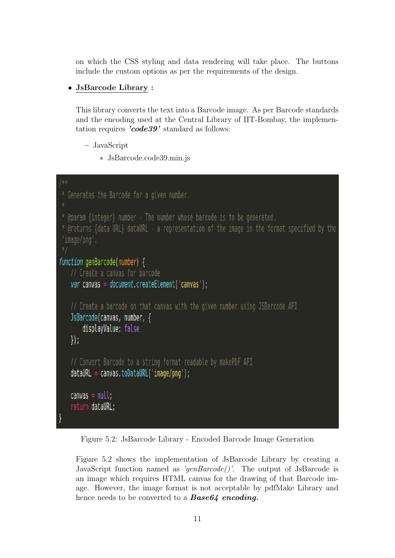on which the CSS styling and data rendering will take place. The buttons include the custom options as per the requirements of the design.

#### • JsBarcode Library :

This library converts the text into a Barcode image. As per Barcode standards and the encoding used at the Central Library of IIT-Bombay, the implementation requires 'code39' standard as follows:

```
– JavaScript
```
∗ JsBarcode.code39.min.js

```
* Generates the Barcode for a given number.
  @param {integer} number - The number whose barcode is to be generated.
* @returns {data URL} dataURL - a representation of the image in the format specified by the
 'image/png'.
function genBarcode(number) {
   // Create a canvas for barcode
   var canvas = document.createElement('canvas');
   // Create a barcode on that canvas with the given number using JSBarcode API
   JsBarcode(canvas, number, {
       displayValue: false
   \vert \vert// Convert Barcode to a string format readable by makePDF API
   dataURL = canvas.toDataURL('image/png');canvas = null;return dataURL;
```
Figure 5.2: JsBarcode Library - Encoded Barcode Image Generation

Figure 5.2 shows the implementation of JsBarcode Library by creating a JavaScript function named as 'genBarcode''. The output of JsBarcode is an image which requires HTML canvas for the drawing of that Barcode image. However, the image format is not acceptable by pdfMake Library and hence needs to be converted to a **Base64** encoding.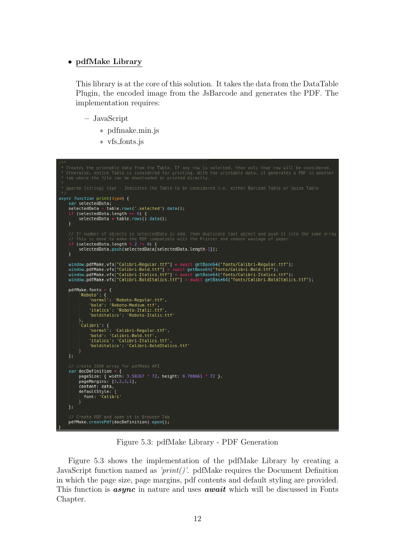#### • pdfMake Library

This library is at the core of this solution. It takes the data from the DataTable Plugin, the encoded image from the JsBarcode and generates the PDF. The implementation requires:

- JavaScript
	- ∗ pdfmake.min.js
	- ∗ vfs fonts.js

<span id="page-12-0"></span>

Figure 5.3: pdfMake Library - PDF Generation

Figure 5.3 shows the implementation of the pdfMake Library by creating a JavaScript function named as ' $print()$ '. pdfMake requires the Document Definition in which the page size, page margins, pdf contents and default styling are provided. This function is **async** in nature and uses **await** which will be discussed in Fonts Chapter.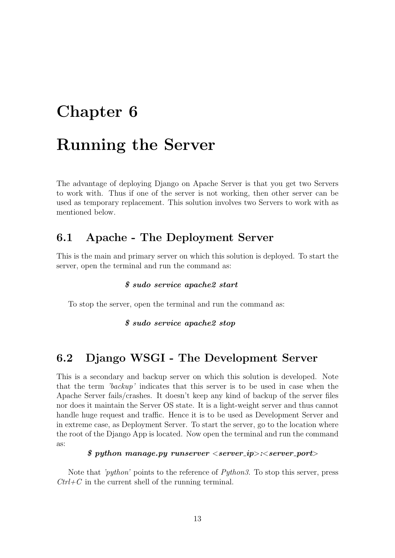## <span id="page-13-0"></span>Running the Server

The advantage of deploying Django on Apache Server is that you get two Servers to work with. Thus if one of the server is not working, then other server can be used as temporary replacement. This solution involves two Servers to work with as mentioned below.

### <span id="page-13-1"></span>6.1 Apache - The Deployment Server

This is the main and primary server on which this solution is deployed. To start the server, open the terminal and run the command as:

#### \$ sudo service apache2 start

To stop the server, open the terminal and run the command as:

#### \$ sudo service apache2 stop

#### <span id="page-13-2"></span>6.2 Django WSGI - The Development Server

This is a secondary and backup server on which this solution is developed. Note that the term 'backup' indicates that this server is to be used in case when the Apache Server fails/crashes. It doesn't keep any kind of backup of the server files nor does it maintain the Server OS state. It is a light-weight server and thus cannot handle huge request and traffic. Hence it is to be used as Development Server and in extreme case, as Deployment Server. To start the server, go to the location where the root of the Django App is located. Now open the terminal and run the command as:

#### $\frac{1}{2}$  python manage.py runserver  $\langle server\_ip \rangle$ :  $\langle server\_port \rangle$

Note that 'python' points to the reference of Python3. To stop this server, press  $Ctrl+C$  in the current shell of the running terminal.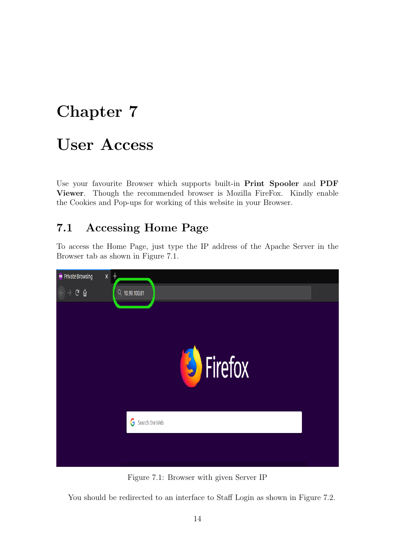## <span id="page-14-0"></span>User Access

Use your favourite Browser which supports built-in Print Spooler and PDF Viewer. Though the recommended browser is Mozilla FireFox. Kindly enable the Cookies and Pop-ups for working of this website in your Browser.

### <span id="page-14-1"></span>7.1 Accessing Home Page

To access the Home Page, just type the IP address of the Apache Server in the Browser tab as shown in Figure 7.1.

<span id="page-14-2"></span>

Figure 7.1: Browser with given Server IP

You should be redirected to an interface to Staff Login as shown in Figure 7.2.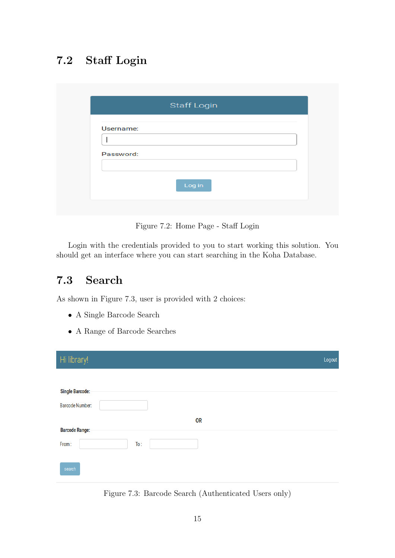## <span id="page-15-0"></span>7.2 Staff Login

<span id="page-15-2"></span>

|           | <b>Staff Login</b> |  |
|-----------|--------------------|--|
| Username: |                    |  |
|           |                    |  |
| Password: |                    |  |
|           |                    |  |
|           | Log in             |  |
|           |                    |  |

Figure 7.2: Home Page - Staff Login

Login with the credentials provided to you to start working this solution. You should get an interface where you can start searching in the Koha Database.

### <span id="page-15-1"></span>7.3 Search

As shown in Figure 7.3, user is provided with 2 choices:

- A Single Barcode Search
- A Range of Barcode Searches

<span id="page-15-3"></span>

| Hi library!            | Logout |
|------------------------|--------|
|                        |        |
| <b>Single Barcode:</b> |        |
| <b>Barcode Number:</b> |        |
| <b>OR</b>              |        |
| <b>Barcode Range:</b>  |        |
| From:<br>To:           |        |
| search                 |        |

Figure 7.3: Barcode Search (Authenticated Users only)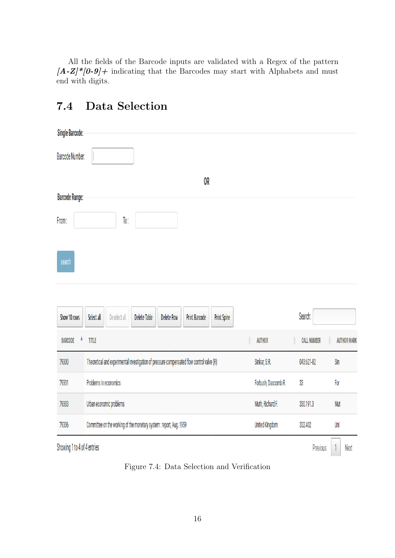All the fields of the Barcode inputs are validated with a Regex of the pattern  $[A-Z]^*[0-9]$ + indicating that the Barcodes may start with Alphabets and must end with digits.

### <span id="page-16-0"></span>7.4 Data Selection

<span id="page-16-1"></span>

| <b>Single Barcode:</b> |                                                                                                 |                       |                    |                    |
|------------------------|-------------------------------------------------------------------------------------------------|-----------------------|--------------------|--------------------|
| Barcode Number:        |                                                                                                 |                       |                    |                    |
|                        | 0R                                                                                              |                       |                    |                    |
| <b>Barcode Range:</b>  |                                                                                                 |                       |                    |                    |
| From:                  | To:                                                                                             |                       |                    |                    |
|                        |                                                                                                 |                       |                    |                    |
| search                 |                                                                                                 |                       |                    |                    |
|                        |                                                                                                 |                       |                    |                    |
|                        |                                                                                                 |                       |                    |                    |
| Show 10 rows           | Select all<br>Delete Table<br>Deselect all<br><b>Delete Row</b><br>Print Barcode<br>Print Spine |                       | Search:            |                    |
| <b>BARCODE</b>         | TITLE                                                                                           | <b>AUTHOR</b>         | <b>CALL NUMBER</b> | <b>AUTHOR MARK</b> |
| 79300                  | Theoretical and experimental investigation of pressure compensated flow control valve (R)       | Sinkar, S.R.          | 043:621-82         | Sin                |
| 79301                  | Problems in economics                                                                           | Forbush, Dascomb R.   | 33                 | For                |
| 79303                  | Urban economic problems                                                                         | Muth, Richard F.      | 330.191.3          | Mut                |
| 79306                  | Committee on the working of the monetary system : report, Aug. 1959                             | <b>United Kingdom</b> | 332.402            | Uni                |
|                        |                                                                                                 |                       |                    |                    |

Showing 1 to 4 of 4 entries

Previous 1 Next

Figure 7.4: Data Selection and Verification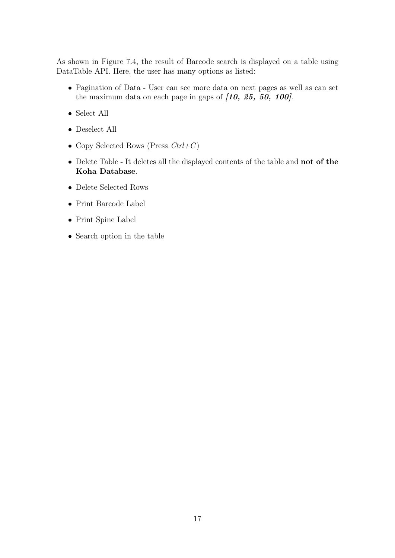As shown in Figure 7.4, the result of Barcode search is displayed on a table using DataTable API. Here, the user has many options as listed:

- Pagination of Data User can see more data on next pages as well as can set the maximum data on each page in gaps of  $(10, 25, 50, 100)$ .
- Select All
- Deselect All
- Copy Selected Rows (Press  $Ctrl + C$ )
- Delete Table It deletes all the displayed contents of the table and not of the Koha Database.
- Delete Selected Rows
- Print Barcode Label
- Print Spine Label
- Search option in the table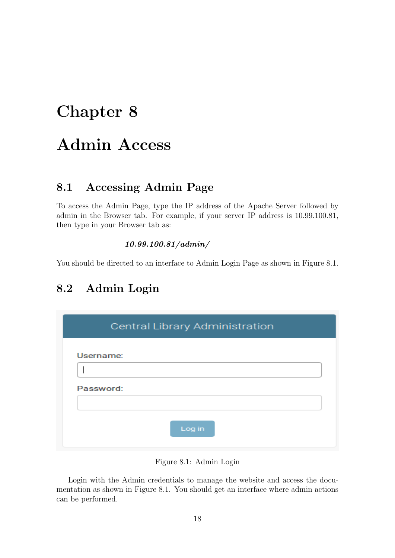## <span id="page-18-0"></span>Admin Access

### <span id="page-18-1"></span>8.1 Accessing Admin Page

To access the Admin Page, type the IP address of the Apache Server followed by admin in the Browser tab. For example, if your server IP address is 10.99.100.81, then type in your Browser tab as:

#### 10.99.100.81/admin/

You should be directed to an interface to Admin Login Page as shown in Figure 8.1.

## <span id="page-18-2"></span>8.2 Admin Login

<span id="page-18-3"></span>

| Central Library Administration |
|--------------------------------|
| Username:                      |
| Password:                      |
| Log in                         |

Figure 8.1: Admin Login

Login with the Admin credentials to manage the website and access the documentation as shown in Figure 8.1. You should get an interface where admin actions can be performed.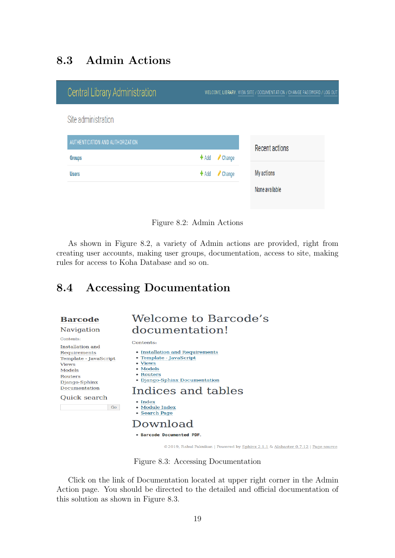## <span id="page-19-0"></span>8.3 Admin Actions

<span id="page-19-2"></span>

| <b>Central Library Administration</b> |                   | WELCOME, LIBRARY. VIEW SITE / DOCUMENTATION / CHANGE PASSWORD / LOG OUT |
|---------------------------------------|-------------------|-------------------------------------------------------------------------|
| Site administration                   |                   |                                                                         |
| AUTHENTICATION AND AUTHORIZATION      |                   | <b>Recent actions</b>                                                   |
| <b>Groups</b>                         | $+$ Add<br>Change |                                                                         |
| <b>Users</b>                          | Change<br>$+$ Add | <b>My actions</b>                                                       |
|                                       |                   | None available                                                          |

Figure 8.2: Admin Actions

As shown in Figure 8.2, a variety of Admin actions are provided, right from creating user accounts, making user groups, documentation, access to site, making rules for access to Koha Database and so on.

### <span id="page-19-1"></span>8.4 Accessing Documentation

#### <span id="page-19-3"></span>**Barcode**

#### Navigation

Contents: Installation and Requi Temp **Views**  $\textbf{Mode}$ Route Djang Docu

#### Qui

### Welcome to Barcode's documentation!

Contents:

| uation ana        |                                                                                   |
|-------------------|-----------------------------------------------------------------------------------|
| irements          | • Installation and Requirements                                                   |
| late - JavaScript | • Template - JavaScript                                                           |
|                   | • Views                                                                           |
| $\mathbf{ls}$     | • Models                                                                          |
| ers               | • Routers                                                                         |
| <b>Jo-Sphinx</b>  | • Django-Sphinx Documentation                                                     |
| mentation         | Indices and tables                                                                |
| ck search         |                                                                                   |
|                   | $\bullet$ Index                                                                   |
| Go                | • Module Index                                                                    |
|                   | • Search Page                                                                     |
|                   |                                                                                   |
|                   | Download                                                                          |
|                   |                                                                                   |
|                   | • Barcode Documented PDF.                                                         |
|                   |                                                                                   |
|                   | ©2019, Rahul Paknikar.   Powered by Sphinx 2.1.1 & Alabaster 0.7.12   Page source |

Figure 8.3: Accessing Documentation

Click on the link of Documentation located at upper right corner in the Admin Action page. You should be directed to the detailed and official documentation of this solution as shown in Figure 8.3.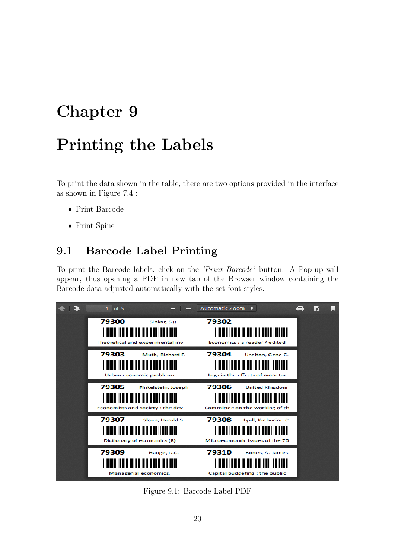## <span id="page-20-0"></span>Printing the Labels

To print the data shown in the table, there are two options provided in the interface as shown in Figure 7.4 :

- Print Barcode
- Print Spine

### <span id="page-20-1"></span>9.1 Barcode Label Printing

To print the Barcode labels, click on the 'Print Barcode' button. A Pop-up will appear, thus opening a PDF in new tab of the Browser window containing the Barcode data adjusted automatically with the set font-styles.

<span id="page-20-2"></span>

Figure 9.1: Barcode Label PDF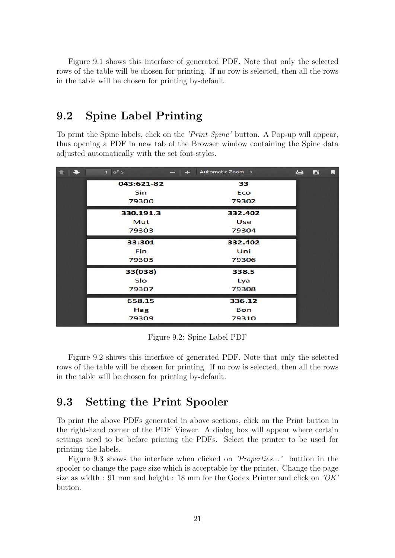Figure 9.1 shows this interface of generated PDF. Note that only the selected rows of the table will be chosen for printing. If no row is selected, then all the rows in the table will be chosen for printing by-default.

### <span id="page-21-0"></span>9.2 Spine Label Printing

To print the Spine labels, click on the 'Print Spine' button. A Pop-up will appear, thus opening a PDF in new tab of the Browser window containing the Spine data adjusted automatically with the set font-styles.

<span id="page-21-2"></span>

| $\begin{array}{c c c c c c} \hline \textbf{t} & \textbf{t} & \textbf{t} & \textbf{t} \\ \hline \textbf{t} & \textbf{t} & \textbf{t} & \textbf{t} & \textbf{t} \\ \hline \end{array}$ | $1$ of 5   | - + Automatic Zoom + |            | e d | u |
|--------------------------------------------------------------------------------------------------------------------------------------------------------------------------------------|------------|----------------------|------------|-----|---|
|                                                                                                                                                                                      | 043:621-82 |                      | 33         |     |   |
|                                                                                                                                                                                      | <b>Sin</b> |                      | Eco        |     |   |
|                                                                                                                                                                                      | 79300      |                      | 79302      |     |   |
|                                                                                                                                                                                      | 330.191.3  |                      | 332.402    |     |   |
|                                                                                                                                                                                      | Mut        |                      | Use        |     |   |
|                                                                                                                                                                                      | 79303      |                      | 79304      |     |   |
|                                                                                                                                                                                      | 33:301     |                      | 332.402    |     |   |
|                                                                                                                                                                                      | <b>Fin</b> |                      | Uni        |     |   |
|                                                                                                                                                                                      | 79305      |                      | 79306      |     |   |
|                                                                                                                                                                                      | 33(038)    |                      | 338.5      |     |   |
|                                                                                                                                                                                      | Slo        |                      | Lya        |     |   |
|                                                                                                                                                                                      | 79307      |                      | 79308      |     |   |
|                                                                                                                                                                                      | 658.15     |                      | 336.12     |     |   |
|                                                                                                                                                                                      | Hag        |                      | <b>Bon</b> |     |   |
|                                                                                                                                                                                      | 79309      |                      | 79310      |     |   |

Figure 9.2: Spine Label PDF

Figure 9.2 shows this interface of generated PDF. Note that only the selected rows of the table will be chosen for printing. If no row is selected, then all the rows in the table will be chosen for printing by-default.

### <span id="page-21-1"></span>9.3 Setting the Print Spooler

To print the above PDFs generated in above sections, click on the Print button in the right-hand corner of the PDF Viewer. A dialog box will appear where certain settings need to be before printing the PDFs. Select the printer to be used for printing the labels.

Figure 9.3 shows the interface when clicked on 'Properties...' buttion in the spooler to change the page size which is acceptable by the printer. Change the page size as width : 91 mm and height : 18 mm for the Godex Printer and click on  $\partial K'$ button.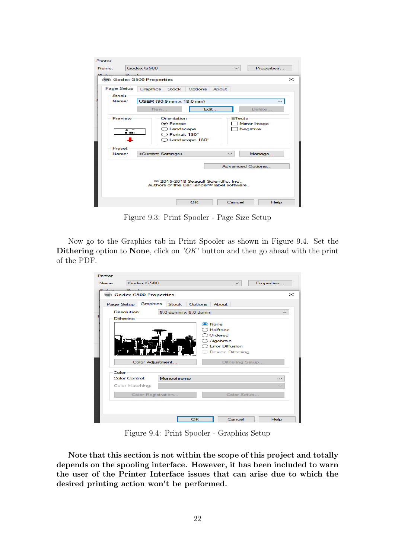<span id="page-22-0"></span>

| Printer                    |                      |                                 |                                       |                                                                                 |       |                |                  |          |
|----------------------------|----------------------|---------------------------------|---------------------------------------|---------------------------------------------------------------------------------|-------|----------------|------------------|----------|
| Name:                      |                      | Godex G500                      |                                       |                                                                                 |       | $\checkmark$   | Properties       |          |
|                            |                      | 喇 Godex G500 Properties         |                                       |                                                                                 |       |                |                  | $\times$ |
| Page Setup<br><b>Stock</b> |                      | Graphics                        | Stock                                 | Options                                                                         | About |                |                  |          |
| Name:                      |                      | USER (90.9 mm x 18.0 mm)        |                                       |                                                                                 |       |                |                  |          |
|                            |                      | <b>New</b>                      |                                       |                                                                                 | Edit  |                | Delete           |          |
| Preview                    |                      |                                 | Orientation<br><b>●</b> Portrait      |                                                                                 |       | <b>Effects</b> | Mirror Image     |          |
|                            | <b>ALE</b><br>000000 |                                 | $\bigcirc$ Landscape<br>Portrait 180° | Landscape 180°                                                                  |       |                | Negative         |          |
| Preset<br>Name:            |                      | <current settings=""></current> |                                       |                                                                                 |       |                | Manage           |          |
|                            |                      |                                 |                                       |                                                                                 |       |                | Advanced Options |          |
|                            |                      |                                 |                                       | 2015-2018 Seagull Scientific, Inc.,<br>Authors of the BarTender® label software |       |                |                  |          |
|                            |                      |                                 |                                       | OK                                                                              |       | Cancel         | Help             |          |

Figure 9.3: Print Spooler - Page Size Setup

<span id="page-22-1"></span>Now go to the Graphics tab in Print Spooler as shown in Figure 9.4. Set the Dithering option to None, click on  $\partial K'$  button and then go ahead with the print of the PDF.

| Printer<br>Godex G500<br>Name: |                     | Properties                          |          |
|--------------------------------|---------------------|-------------------------------------|----------|
|                                |                     |                                     |          |
| c.<br>· Godex G500 Properties  |                     |                                     | $\times$ |
|                                |                     |                                     |          |
| Graphics<br>Page Setup         | Stock               | Options<br>About                    |          |
| Resolution:                    | 8.0 dpmm x 8.0 dpmm |                                     |          |
| Dithering                      |                     |                                     |          |
|                                |                     | (C) None                            |          |
|                                |                     | Halftone                            |          |
|                                |                     | Ordered                             |          |
|                                |                     | Algebraic<br><b>Error Diffusion</b> |          |
|                                |                     | <b>Device Dithering</b>             |          |
|                                |                     |                                     |          |
|                                | Color Adjustment    | Dithering Setup                     |          |
| Color                          |                     |                                     |          |
| <b>Color Control:</b>          | Monochrome          |                                     |          |
| Color Matching:                |                     |                                     |          |
|                                |                     |                                     |          |
|                                | Color Registration  | Color Setup                         |          |
|                                |                     |                                     |          |
|                                |                     |                                     |          |
|                                |                     |                                     |          |
|                                | OK                  | Cancel                              | Help     |

Figure 9.4: Print Spooler - Graphics Setup

Note that this section is not within the scope of this project and totally depends on the spooling interface. However, it has been included to warn the user of the Printer Interface issues that can arise due to which the desired printing action won't be performed.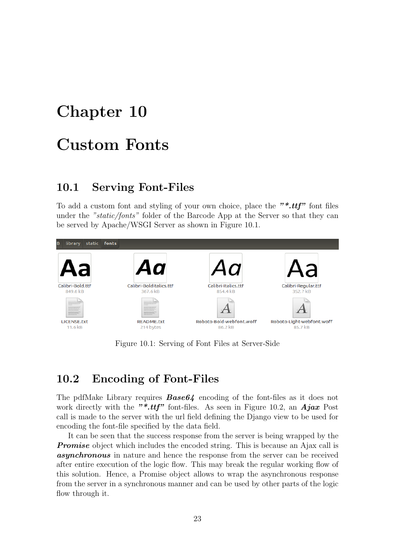## <span id="page-23-0"></span>Custom Fonts

#### <span id="page-23-1"></span>10.1 Serving Font-Files

To add a custom font and styling of your own choice, place the "\*.ttf" font files under the "static/fonts" folder of the Barcode App at the Server so that they can be served by Apache/WSGI Server as shown in Figure 10.1.

<span id="page-23-3"></span>

Figure 10.1: Serving of Font Files at Server-Side

#### <span id="page-23-2"></span>10.2 Encoding of Font-Files

The pdfMake Library requires  $Base64$  encoding of the font-files as it does not work directly with the "\*.ttf" font-files. As seen in Figure 10.2, an  $Aja x$  Post call is made to the server with the url field defining the Django view to be used for encoding the font-file specified by the data field.

It can be seen that the success response from the server is being wrapped by the **Promise** object which includes the encoded string. This is because an Ajax call is **asynchronous** in nature and hence the response from the server can be received after entire execution of the logic flow. This may break the regular working flow of this solution. Hence, a Promise object allows to wrap the asynchronous response from the server in a synchronous manner and can be used by other parts of the logic flow through it.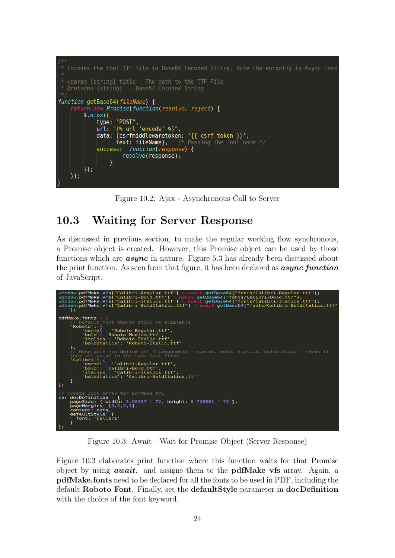<span id="page-24-1"></span>

Figure 10.2: Ajax - Asynchronous Call to Server

### <span id="page-24-0"></span>10.3 Waiting for Server Response

As discussed in previous section, to make the regular working flow synchronous, a Promise object is created. However, this Promise object can be used by those functions which are **async** in nature. Figure 5.3 has already been discussed about the print function. As seen from that figure, it has been declared as  $\mathit{async function}$ of JavaScript.

<span id="page-24-2"></span>

| $window.pdf$ Make.vfs["Calibri-Reqular.ttf"] = await qetBase64("fonts/Calibri-Reqular.ttf");<br>window.pdfMake.vfs["Calibri-Bold.ttf"] = await getBase64("fonts/Calibri-Bold.ttf");<br>window.pdfMake.vfs["Calibri-Italics.ttf"] = $a$ wait getBase64("fonts/Calibri-Italics.ttf");<br>window.pdfMake.vfs["Calibri-BoldItalics.ttf"] = await getBase64("fonts/Calibri-BoldItalics.ttf"<br>) ; |
|-----------------------------------------------------------------------------------------------------------------------------------------------------------------------------------------------------------------------------------------------------------------------------------------------------------------------------------------------------------------------------------------------|
| $pdfMake.fonts = f$<br>// Default font should still be available<br>'Roboto': {<br>'normal': 'Roboto-Reqular.ttf',<br>'bold': 'Roboto-Medium.ttf',<br>'italics': 'Roboto-Italic.ttf',<br>'bolditalics': 'Roboto-Italic.ttf'                                                                                                                                                                   |
| λ,<br>// Make sure you define all 4 components - normal, bold, italics, bolditalics - (even if<br>they all point to the same font file)<br>'Calibri': f<br>'normal': 'Calibri-Regular.ttf',<br>'bold': 'Calibri-Bold.ttf',<br>'italics': 'Calibri-Italics.ttf',<br>'bolditalics': 'Calibri-BoldItalics.ttf'<br>$\cdot$                                                                        |
| // create JSON array for pdfMake API<br><i>var</i> docDefinition = {<br>pageSize: { width: $3.58267 * 72$ , height: $0.708661 * 72$ },<br>pageMargins: $[3,2,2,1]$ ,<br>content: data,<br>defaultStyle: {<br>font: 'Calibri'<br>$\cdot$                                                                                                                                                       |

Figure 10.3: Await - Wait for Promise Object (Server Response)

Figure 10.3 elaborates print function where this function waits for that Promise object by using **await.** and assigns them to the **pdfMake vfs** array. Again, a pdfMake.fonts need to be declared for all the fonts to be used in PDF, including the default Roboto Font. Finally, set the defaultStyle parameter in docDefinition with the choice of the font keyword.